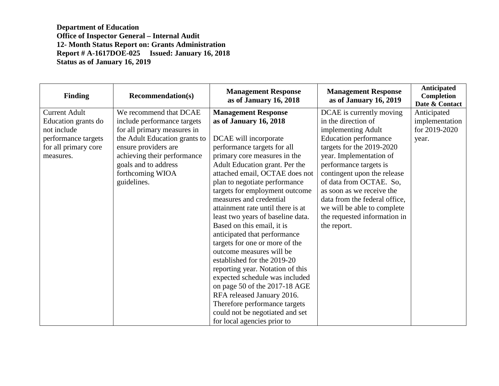**Department of Education Office of Inspector General – Internal Audit 12- Month Status Report on: Grants Administration Report # A-1617DOE-025 Issued: January 16, 2018 Status as of January 16, 2019** 

| <b>Finding</b>       | <b>Recommendation(s)</b>      | <b>Management Response</b><br>as of January 16, 2018 | <b>Management Response</b><br>as of January 16, 2019 | <b>Anticipated</b><br>Completion<br>Date & Contact |
|----------------------|-------------------------------|------------------------------------------------------|------------------------------------------------------|----------------------------------------------------|
| <b>Current Adult</b> | We recommend that DCAE        | <b>Management Response</b>                           | DCAE is currently moving                             | Anticipated                                        |
| Education grants do  | include performance targets   | as of January 16, 2018                               | in the direction of                                  | implementation                                     |
| not include          | for all primary measures in   |                                                      | implementing Adult                                   | for 2019-2020                                      |
| performance targets  | the Adult Education grants to | DCAE will incorporate                                | <b>Education performance</b>                         | year.                                              |
| for all primary core | ensure providers are          | performance targets for all                          | targets for the 2019-2020                            |                                                    |
| measures.            | achieving their performance   | primary core measures in the                         | year. Implementation of                              |                                                    |
|                      | goals and to address          | Adult Education grant. Per the                       | performance targets is                               |                                                    |
|                      | forthcoming WIOA              | attached email, OCTAE does not                       | contingent upon the release                          |                                                    |
|                      | guidelines.                   | plan to negotiate performance                        | of data from OCTAE. So,                              |                                                    |
|                      |                               | targets for employment outcome                       | as soon as we receive the                            |                                                    |
|                      |                               | measures and credential                              | data from the federal office,                        |                                                    |
|                      |                               | attainment rate until there is at                    | we will be able to complete                          |                                                    |
|                      |                               | least two years of baseline data.                    | the requested information in                         |                                                    |
|                      |                               | Based on this email, it is                           | the report.                                          |                                                    |
|                      |                               | anticipated that performance                         |                                                      |                                                    |
|                      |                               | targets for one or more of the                       |                                                      |                                                    |
|                      |                               | outcome measures will be                             |                                                      |                                                    |
|                      |                               | established for the 2019-20                          |                                                      |                                                    |
|                      |                               | reporting year. Notation of this                     |                                                      |                                                    |
|                      |                               | expected schedule was included                       |                                                      |                                                    |
|                      |                               | on page 50 of the 2017-18 AGE                        |                                                      |                                                    |
|                      |                               | RFA released January 2016.                           |                                                      |                                                    |
|                      |                               | Therefore performance targets                        |                                                      |                                                    |
|                      |                               | could not be negotiated and set                      |                                                      |                                                    |
|                      |                               | for local agencies prior to                          |                                                      |                                                    |